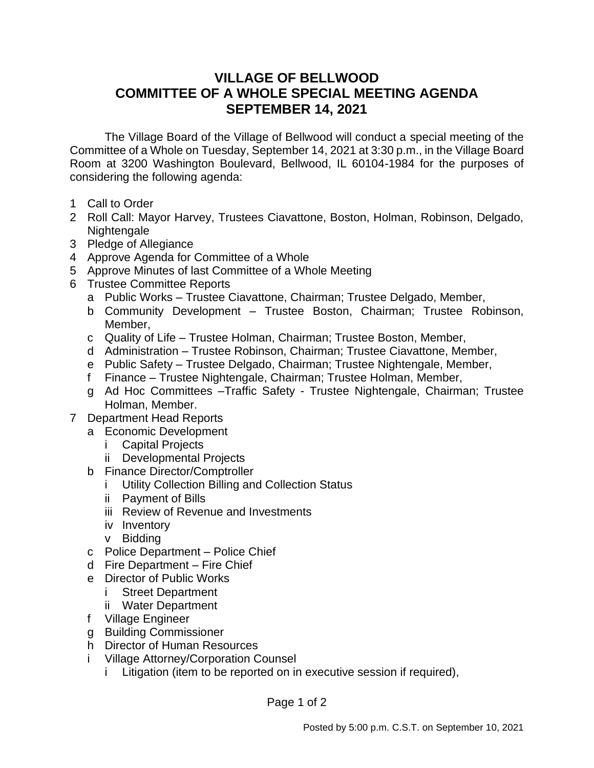## **VILLAGE OF BELLWOOD COMMITTEE OF A WHOLE SPECIAL MEETING AGENDA SEPTEMBER 14, 2021**

The Village Board of the Village of Bellwood will conduct a special meeting of the Committee of a Whole on Tuesday, September 14, 2021 at 3:30 p.m., in the Village Board Room at 3200 Washington Boulevard, Bellwood, IL 60104-1984 for the purposes of considering the following agenda:

- 1 Call to Order
- 2 Roll Call: Mayor Harvey, Trustees Ciavattone, Boston, Holman, Robinson, Delgado, Nightengale
- 3 Pledge of Allegiance
- 4 Approve Agenda for Committee of a Whole
- 5 Approve Minutes of last Committee of a Whole Meeting
- 6 Trustee Committee Reports
	- a Public Works Trustee Ciavattone, Chairman; Trustee Delgado, Member,
	- b Community Development Trustee Boston, Chairman; Trustee Robinson, Member,
	- c Quality of Life Trustee Holman, Chairman; Trustee Boston, Member,
	- d Administration Trustee Robinson, Chairman; Trustee Ciavattone, Member,
	- e Public Safety Trustee Delgado, Chairman; Trustee Nightengale, Member,
	- f Finance Trustee Nightengale, Chairman; Trustee Holman, Member,
	- g Ad Hoc Committees –Traffic Safety Trustee Nightengale, Chairman; Trustee Holman, Member.
- 7 Department Head Reports
	- a Economic Development
		- i Capital Projects
		- ii Developmental Projects
	- b Finance Director/Comptroller
		- i Utility Collection Billing and Collection Status
		- ii Payment of Bills
		- iii Review of Revenue and Investments
		- iv Inventory
		- v Bidding
	- c Police Department Police Chief
	- d Fire Department Fire Chief
	- e Director of Public Works
		- i Street Department
		- ii Water Department
	- f Village Engineer
	- g Building Commissioner
	- h Director of Human Resources
	- i Village Attorney/Corporation Counsel
		- i Litigation (item to be reported on in executive session if required),

Page 1 of 2